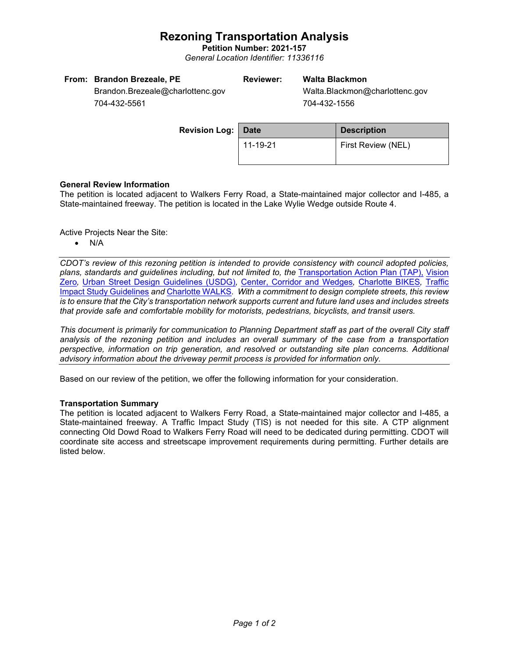# **Rezoning Transportation Analysis**

**Petition Number: 2021-157** *General Location Identifier: 11336116*

| From: Brandon Brezeale, PE       | Reviewer: | Walta Blackmon                 |
|----------------------------------|-----------|--------------------------------|
| Brandon.Brezeale@charlottenc.gov |           | Walta.Blackmon@charlottenc.gov |
| $701, 100$ FFC1                  |           | 701, 100, 100                  |

704-432-5561

704-432-1556

| <b>Revision Log: Date</b> |          | <b>Description</b> |  |
|---------------------------|----------|--------------------|--|
|                           | 11-19-21 | First Review (NEL) |  |

### **General Review Information**

The petition is located adjacent to Walkers Ferry Road, a State-maintained major collector and I-485, a State-maintained freeway. The petition is located in the Lake Wylie Wedge outside Route 4.

Active Projects Near the Site:

• N/A

*CDOT's review of this rezoning petition is intended to provide consistency with council adopted policies, plans, standards and guidelines including, but not limited to, the* [Transportation Action Plan \(TAP\),](https://charlottenc.gov/Transportation/Programs/Pages/TransportationActionPlan.aspx) [Vision](https://charlottenc.gov/VisionZero/Pages/VisionZero.aspx)  [Zero](https://charlottenc.gov/VisionZero/Pages/VisionZero.aspx)*,* [Urban Street Design Guidelines \(USDG\)](https://charlottenc.gov/Transportation/PlansProjects/Documents/USDG%20Full%20Document.pdf)*,* [Center, Corridor and Wedges](http://ww.charmeck.org/Planning/Land%20Use%20Planning/CentersCorridorsWedges/CentersCorridorsWedges(Adopted).pdf)*,* [Charlotte BIKES](https://charlottenc.gov/Transportation/Programs/Pages/Bicycle.aspx)*,* [Traffic](https://charlottenc.gov/Transportation/Permits/Documents/TISProcessandGuildlines.pdf)  [Impact Study Guidelines](https://charlottenc.gov/Transportation/Permits/Documents/TISProcessandGuildlines.pdf) *and* [Charlotte WALKS](https://charlottenc.gov/Transportation/Programs/Pages/CharlotteWalks.aspx)*. With a commitment to design complete streets, this review is to ensure that the City's transportation network supports current and future land uses and includes streets that provide safe and comfortable mobility for motorists, pedestrians, bicyclists, and transit users.*

*This document is primarily for communication to Planning Department staff as part of the overall City staff analysis of the rezoning petition and includes an overall summary of the case from a transportation perspective, information on trip generation, and resolved or outstanding site plan concerns. Additional advisory information about the driveway permit process is provided for information only.*

Based on our review of the petition, we offer the following information for your consideration.

### **Transportation Summary**

The petition is located adjacent to Walkers Ferry Road, a State-maintained major collector and I-485, a State-maintained freeway. A Traffic Impact Study (TIS) is not needed for this site. A CTP alignment connecting Old Dowd Road to Walkers Ferry Road will need to be dedicated during permitting. CDOT will coordinate site access and streetscape improvement requirements during permitting. Further details are listed below.